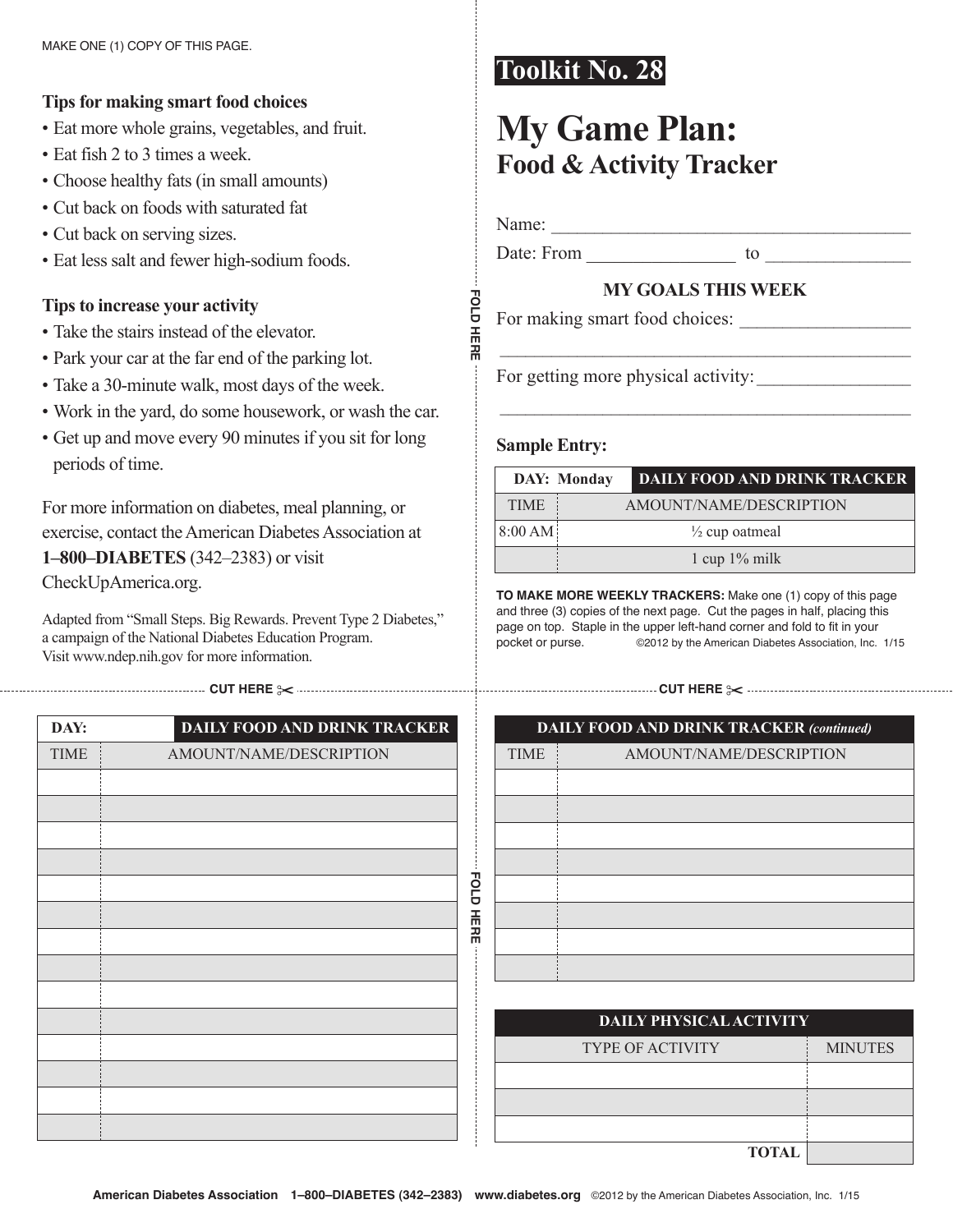## **Tips for making smart food choices**

- Eat more whole grains, vegetables, and fruit.
- Eat fish 2 to 3 times a week.
- choose healthy fats (in small amounts)
- cut back on foods with saturated fat
- Cut back on serving sizes.
- Eat less salt and fewer high-sodium foods.

## **Tips to increase your activity**

- Take the stairs instead of the elevator.
- park your car at the far end of the parking lot.
- Take a 30-minute walk, most days of the week.
- Work in the yard, do some housework, or wash the car.
- Get up and move every 90 minutes if you sit for long periods of time.

For more information on diabetes, meal planning, or exercise, contact the American Diabetes Association at **1–800–DiaBeTeS** (342–2383) or visit CheckUpAmerica.org.

Adapted from "Small Steps. Big Rewards. Prevent Type 2 Diabetes," a campaign of the National Diabetes Education Program. Visit www.ndep.nih.gov for more information.

**cut here** ✂ **cut here** ✂

| DAY:        | <b>DAILY FOOD AND DRINK TRACKER</b> |
|-------------|-------------------------------------|
| <b>TIME</b> | AMOUNT/NAME/DESCRIPTION             |
|             |                                     |
|             |                                     |
|             |                                     |
|             |                                     |
|             |                                     |
|             |                                     |
|             |                                     |
|             |                                     |
|             |                                     |
|             |                                     |
|             |                                     |
|             |                                     |
|             |                                     |
|             |                                     |

# **Toolkit No. 28**

# **My game plan: Food & activity Tracker**

name: \_\_\_\_\_\_\_\_\_\_\_\_\_\_\_\_\_\_\_\_\_\_\_\_\_\_\_\_\_\_\_\_\_\_\_\_\_\_\_\_\_\_

**Fold**

**here**

Date: From to  $\qquad \qquad$  to  $\qquad \qquad$ 

### **My goalS ThiS week**

 $\mathcal{L}_\text{max}$  and  $\mathcal{L}_\text{max}$  and  $\mathcal{L}_\text{max}$  and  $\mathcal{L}_\text{max}$ 

 $\mathcal{L}_\text{max}$  and the contract of the contract of the contract of the contract of the contract of the contract of the contract of the contract of the contract of the contract of the contract of the contract of the contrac

For making smart food choices:

For getting more physical activity:

#### **Sample Entry:**

|             | DAY: Monday | <b>DAILY FOOD AND DRINK TRACKER</b> |
|-------------|-------------|-------------------------------------|
| <b>TIME</b> |             | AMOUNT/NAME/DESCRIPTION             |
| 8:00 AM     |             | $\frac{1}{2}$ cup oatmeal           |
|             |             | 1 cup $1\%$ milk                    |

**to MAKe More WeeKlY trAcKerS:** Make one (1) copy of this page and three (3) copies of the next page. Cut the pages in half, placing this page on top. Staple in the upper left-hand corner and fold to fit in your pocket or purse.  $\qquad \qquad \circledcirc$  2012 by the American Diabetes Association, Inc. 1/15

| <b>DAILY FOOD AND DRINK TRACKER (continued)</b> |                         |  |
|-------------------------------------------------|-------------------------|--|
| <b>TIME</b>                                     | AMOUNT/NAME/DESCRIPTION |  |
|                                                 |                         |  |
|                                                 |                         |  |
|                                                 |                         |  |
|                                                 |                         |  |
|                                                 |                         |  |
|                                                 |                         |  |
|                                                 |                         |  |
|                                                 |                         |  |
|                                                 |                         |  |

| DAILY PHYSICAL ACTIVITY |                |  |
|-------------------------|----------------|--|
| <b>TYPE OF ACTIVITY</b> | <b>MINUTES</b> |  |
|                         |                |  |
|                         |                |  |
|                         |                |  |
| <b>TOTAL</b>            |                |  |

**Fold**

**here**